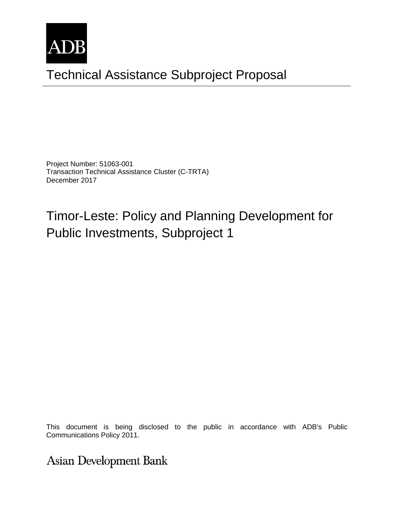

# Technical Assistance Subproject Proposal

Project Number: 51063-001 Transaction Technical Assistance Cluster (C-TRTA) December 2017

# Timor-Leste: Policy and Planning Development for Public Investments, Subproject 1

This document is being disclosed to the public in accordance with ADB's Public Communications Policy 2011. The preliminary in nature. The preliminary in nature. The preliminary in nature. The predictions of the preliminary in nature. The predictions of the predictions of the predictions of the predic

**Asian Development Bank**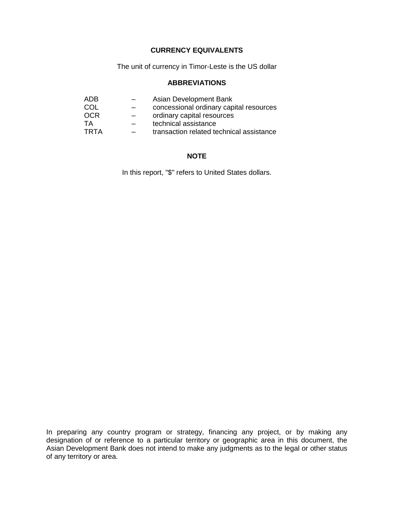#### **CURRENCY EQUIVALENTS**

The unit of currency in Timor-Leste is the US dollar

#### **ABBREVIATIONS**

| ADB.       |                          | Asian Development Bank                   |
|------------|--------------------------|------------------------------------------|
| COL        | $\overline{\phantom{0}}$ | concessional ordinary capital resources  |
| <b>OCR</b> | $-$                      | ordinary capital resources               |
| TA         |                          | technical assistance                     |
| TRTA       | $\overline{\phantom{0}}$ | transaction related technical assistance |

#### **NOTE**

In this report, "\$" refers to United States dollars.

In preparing any country program or strategy, financing any project, or by making any designation of or reference to a particular territory or geographic area in this document, the Asian Development Bank does not intend to make any judgments as to the legal or other status of any territory or area.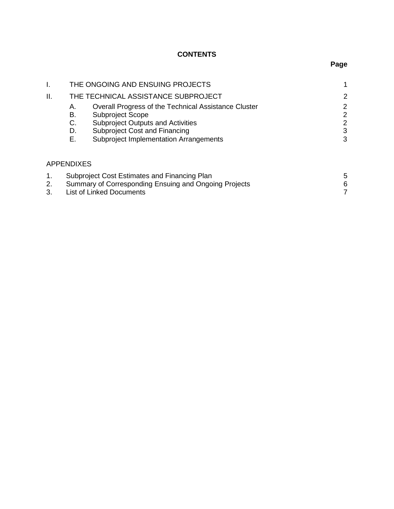# **CONTENTS**

| I.                  | THE ONGOING AND ENSUING PROJECTS |                                                                                                                                                                                                        |                       |
|---------------------|----------------------------------|--------------------------------------------------------------------------------------------------------------------------------------------------------------------------------------------------------|-----------------------|
| II.                 |                                  | THE TECHNICAL ASSISTANCE SUBPROJECT                                                                                                                                                                    | 2                     |
|                     | А.<br>В.<br>C.<br>D.<br>Е.       | Overall Progress of the Technical Assistance Cluster<br>Subproject Scope<br><b>Subproject Outputs and Activities</b><br>Subproject Cost and Financing<br><b>Subproject Implementation Arrangements</b> | 2<br>2<br>2<br>3<br>3 |
|                     | <b>APPENDIXES</b>                |                                                                                                                                                                                                        |                       |
| $\mathbf 1$ .<br>2. |                                  | Subproject Cost Estimates and Financing Plan<br>Summary of Corresponding Ensuing and Ongoing Projects                                                                                                  | 5<br>6                |

| 3. | List of Linked Documents |  |
|----|--------------------------|--|
|    |                          |  |
|    |                          |  |

**Page**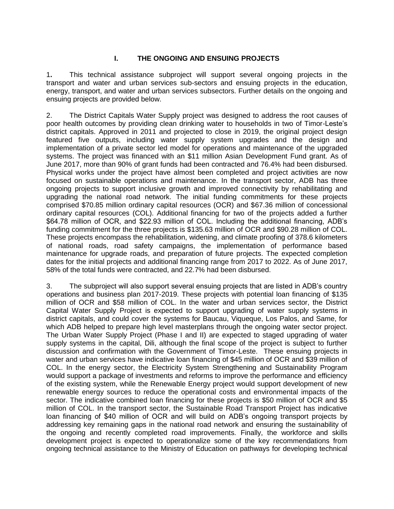#### **I. THE ONGOING AND ENSUING PROJECTS**

1**.** This technical assistance subproject will support several ongoing projects in the transport and water and urban services sub-sectors and ensuing projects in the education, energy, transport, and water and urban services subsectors. Further details on the ongoing and ensuing projects are provided below.

2. The District Capitals Water Supply project was designed to address the root causes of poor health outcomes by providing clean drinking water to households in two of Timor-Leste's district capitals. Approved in 2011 and projected to close in 2019, the original project design featured five outputs, including water supply system upgrades and the design and implementation of a private sector led model for operations and maintenance of the upgraded systems. The project was financed with an \$11 million Asian Development Fund grant. As of June 2017, more than 90% of grant funds had been contracted and 76.4% had been disbursed. Physical works under the project have almost been completed and project activities are now focused on sustainable operations and maintenance. In the transport sector, ADB has three ongoing projects to support inclusive growth and improved connectivity by rehabilitating and upgrading the national road network. The initial funding commitments for these projects comprised \$70.85 million ordinary capital resources (OCR) and \$67.36 million of concessional ordinary capital resources (COL). Additional financing for two of the projects added a further \$64.78 million of OCR, and \$22.93 million of COL. Including the additional financing, ADB's funding commitment for the three projects is \$135.63 million of OCR and \$90.28 million of COL. These projects encompass the rehabilitation, widening, and climate proofing of 378.6 kilometers of national roads, road safety campaigns, the implementation of performance based maintenance for upgrade roads, and preparation of future projects. The expected completion dates for the initial projects and additional financing range from 2017 to 2022. As of June 2017, 58% of the total funds were contracted, and 22.7% had been disbursed.

3. The subproject will also support several ensuing projects that are listed in ADB's country operations and business plan 2017-2019. These projects with potential loan financing of \$135 million of OCR and \$58 million of COL. In the water and urban services sector, the District Capital Water Supply Project is expected to support upgrading of water supply systems in district capitals, and could cover the systems for Baucau, Viqueque, Los Palos, and Same, for which ADB helped to prepare high level masterplans through the ongoing water sector project. The Urban Water Supply Project (Phase I and II) are expected to staged upgrading of water supply systems in the capital, Dili, although the final scope of the project is subject to further discussion and confirmation with the Government of Timor-Leste. These ensuing projects in water and urban services have indicative loan financing of \$45 million of OCR and \$39 million of COL. In the energy sector, the Electricity System Strengthening and Sustainability Program would support a package of investments and reforms to improve the performance and efficiency of the existing system, while the Renewable Energy project would support development of new renewable energy sources to reduce the operational costs and environmental impacts of the sector. The indicative combined loan financing for these projects is \$50 million of OCR and \$5 million of COL. In the transport sector, the Sustainable Road Transport Project has indicative loan financing of \$40 million of OCR and will build on ADB's ongoing transport projects by addressing key remaining gaps in the national road network and ensuring the sustainability of the ongoing and recently completed road improvements. Finally, the workforce and skills development project is expected to operationalize some of the key recommendations from ongoing technical assistance to the Ministry of Education on pathways for developing technical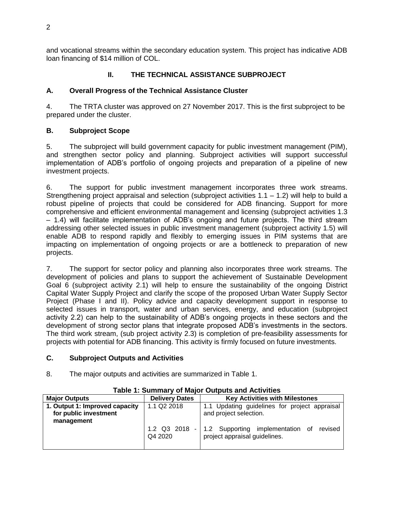and vocational streams within the secondary education system. This project has indicative ADB loan financing of \$14 million of COL.

# **II. THE TECHNICAL ASSISTANCE SUBPROJECT**

### **A. Overall Progress of the Technical Assistance Cluster**

4. The TRTA cluster was approved on 27 November 2017. This is the first subproject to be prepared under the cluster.

## **B. Subproject Scope**

5. The subproject will build government capacity for public investment management (PIM), and strengthen sector policy and planning. Subproject activities will support successful implementation of ADB's portfolio of ongoing projects and preparation of a pipeline of new investment projects.

6. The support for public investment management incorporates three work streams. Strengthening project appraisal and selection (subproject activities  $1.1 - 1.2$ ) will help to build a robust pipeline of projects that could be considered for ADB financing. Support for more comprehensive and efficient environmental management and licensing (subproject activities 1.3 – 1.4) will facilitate implementation of ADB's ongoing and future projects. The third stream addressing other selected issues in public investment management (subproject activity 1.5) will enable ADB to respond rapidly and flexibly to emerging issues in PIM systems that are impacting on implementation of ongoing projects or are a bottleneck to preparation of new projects.

7. The support for sector policy and planning also incorporates three work streams. The development of policies and plans to support the achievement of Sustainable Development Goal 6 (subproject activity 2.1) will help to ensure the sustainability of the ongoing District Capital Water Supply Project and clarify the scope of the proposed Urban Water Supply Sector Project (Phase I and II). Policy advice and capacity development support in response to selected issues in transport, water and urban services, energy, and education (subproject activity 2.2) can help to the sustainability of ADB's ongoing projects in these sectors and the development of strong sector plans that integrate proposed ADB's investments in the sectors. The third work stream, (sub project activity 2.3) is completion of pre-feasibility assessments for projects with potential for ADB financing. This activity is firmly focused on future investments.

### **C. Subproject Outputs and Activities**

8. The major outputs and activities are summarized in Table 1.

| <b>Major Outputs</b>           | <b>Delivery Dates</b> | <b>Key Activities with Milestones</b>                                                      |  |  |
|--------------------------------|-----------------------|--------------------------------------------------------------------------------------------|--|--|
| 1. Output 1: Improved capacity | 1.1 Q2 2018           | 1.1 Updating guidelines for project appraisal                                              |  |  |
| for public investment          |                       | and project selection.                                                                     |  |  |
| management                     |                       |                                                                                            |  |  |
|                                | Q4 2020               | 1.2 Q3 2018 - 1.2 Supporting implementation of<br>revised<br>project appraisal guidelines. |  |  |

#### **Table 1: Summary of Major Outputs and Activities**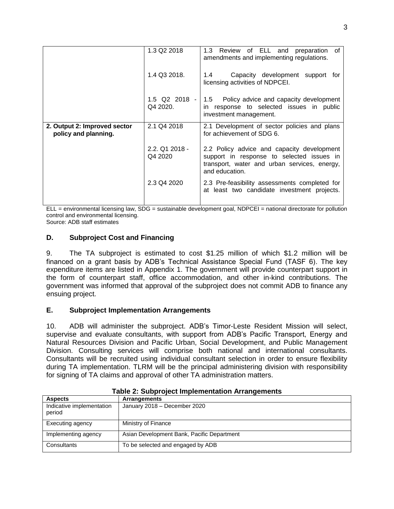|                                                      | 1.3 Q2 2018                 | Review<br>of ELL and<br>1.3<br>preparation<br>0f<br>amendments and implementing regulations.                                                              |  |
|------------------------------------------------------|-----------------------------|-----------------------------------------------------------------------------------------------------------------------------------------------------------|--|
| 1.4 Q3 2018.                                         |                             | Capacity development support for<br>1.4<br>licensing activities of NDPCEI.                                                                                |  |
|                                                      | $1.5$ Q2 2018 -<br>Q4 2020. | 1.5 Policy advice and capacity development<br>in response to selected issues in public<br>investment management.                                          |  |
| 2. Output 2: Improved sector<br>policy and planning. | 2.1 Q4 2018                 | 2.1 Development of sector policies and plans<br>for achievement of SDG 6.                                                                                 |  |
|                                                      | $2.2.$ Q1 2018 -<br>Q4 2020 | 2.2 Policy advice and capacity development<br>support in response to selected issues in<br>transport, water and urban services, energy,<br>and education. |  |
|                                                      | 2.3 Q4 2020                 | 2.3 Pre-feasibility assessments completed for<br>at least two candidate investment projects.                                                              |  |
|                                                      |                             |                                                                                                                                                           |  |

ELL = environmental licensing law, SDG = sustainable development goal, NDPCEI = national directorate for pollution control and environmental licensing.

Source: ADB staff estimates

#### **D. Subproject Cost and Financing**

9. The TA subproject is estimated to cost \$1.25 million of which \$1.2 million will be financed on a grant basis by ADB's Technical Assistance Special Fund (TASF 6). The key expenditure items are listed in Appendix 1. The government will provide counterpart support in the form of counterpart staff, office accommodation, and other in-kind contributions. The government was informed that approval of the subproject does not commit ADB to finance any ensuing project.

#### **E. Subproject Implementation Arrangements**

10. ADB will administer the subproject. ADB's Timor-Leste Resident Mission will select, supervise and evaluate consultants, with support from ADB's Pacific Transport, Energy and Natural Resources Division and Pacific Urban, Social Development, and Public Management Division. Consulting services will comprise both national and international consultants. Consultants will be recruited using individual consultant selection in order to ensure flexibility during TA implementation. TLRM will be the principal administering division with responsibility for signing of TA claims and approval of other TA administration matters.

| <b>Aspects</b>                      | <b>Arrangements</b>                        |
|-------------------------------------|--------------------------------------------|
| Indicative implementation<br>period | January 2018 - December 2020               |
| Executing agency                    | Ministry of Finance                        |
| Implementing agency                 | Asian Development Bank, Pacific Department |
| Consultants                         | To be selected and engaged by ADB          |

| <b>Table 2: Subproject Implementation Arrangements</b> |  |
|--------------------------------------------------------|--|
|--------------------------------------------------------|--|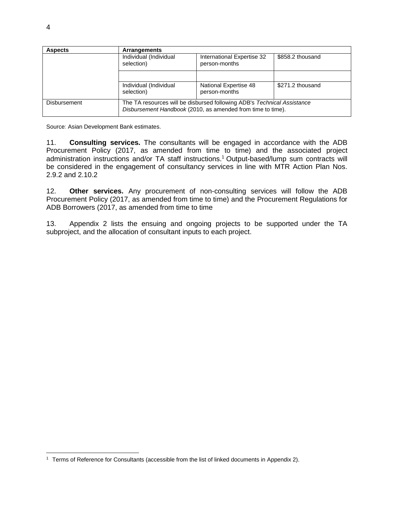| <b>Aspects</b>      | <b>Arrangements</b>                                                                                                                    |                                             |                  |
|---------------------|----------------------------------------------------------------------------------------------------------------------------------------|---------------------------------------------|------------------|
|                     | Individual (Individual<br>selection)                                                                                                   | International Expertise 32<br>person-months | \$858.2 thousand |
|                     |                                                                                                                                        |                                             |                  |
|                     | Individual (Individual<br>selection)                                                                                                   | National Expertise 48<br>person-months      | \$271.2 thousand |
| <b>Disbursement</b> | The TA resources will be disbursed following ADB's Technical Assistance<br>Disbursement Handbook (2010, as amended from time to time). |                                             |                  |

Source: Asian Development Bank estimates.

11. **Consulting services.** The consultants will be engaged in accordance with the ADB Procurement Policy (2017, as amended from time to time) and the associated project administration instructions and/or TA staff instructions. <sup>1</sup> Output-based/lump sum contracts will be considered in the engagement of consultancy services in line with MTR Action Plan Nos. 2.9.2 and 2.10.2

12. **Other services.** Any procurement of non-consulting services will follow the ADB Procurement Policy (2017, as amended from time to time) and the Procurement Regulations for ADB Borrowers (2017, as amended from time to time

13. Appendix 2 lists the ensuing and ongoing projects to be supported under the TA subproject, and the allocation of consultant inputs to each project.

<sup>1</sup> Terms of Reference for Consultants (accessible from the list of linked documents in Appendix 2).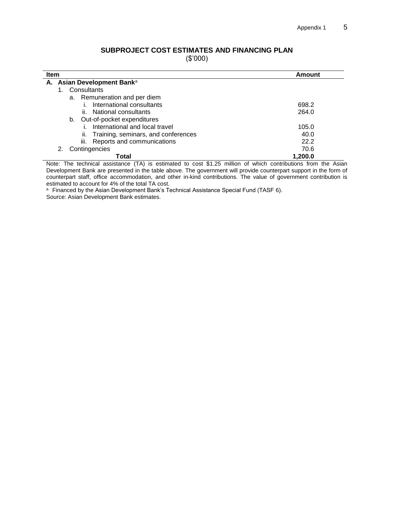# **SUBPROJECT COST ESTIMATES AND FINANCING PLAN**

(\$'000)

| <b>Item</b><br>Amount                      |         |  |  |
|--------------------------------------------|---------|--|--|
| A. Asian Development Banka                 |         |  |  |
| Consultants                                |         |  |  |
| a. Remuneration and per diem               |         |  |  |
| International consultants                  | 698.2   |  |  |
| ii. National consultants                   | 264.0   |  |  |
| Out-of-pocket expenditures<br>b.           |         |  |  |
| International and local travel             | 105.0   |  |  |
| Training, seminars, and conferences<br>ii. | 40.0    |  |  |
| iii. Reports and communications            | 22.2    |  |  |
| Contingencies                              | 70.6    |  |  |
| Total                                      | 1.200.0 |  |  |

Note: The technical assistance (TA) is estimated to cost \$1.25 million of which contributions from the Asian Development Bank are presented in the table above. The government will provide counterpart support in the form of counterpart staff, office accommodation, and other in-kind contributions. The value of government contribution is estimated to account for 4% of the total TA cost.

a Financed by the Asian Development Bank's Technical Assistance Special Fund (TASF 6).

Source: Asian Development Bank estimates.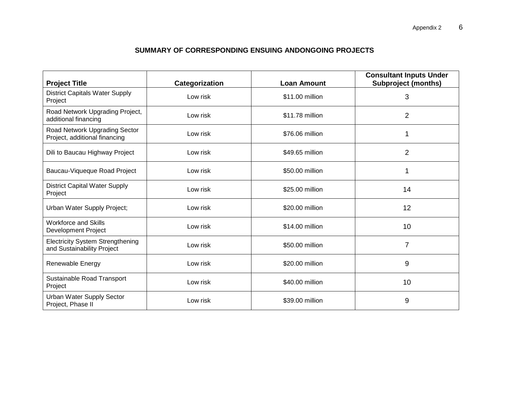# **SUMMARY OF CORRESPONDING ENSUING ANDONGOING PROJECTS**

| <b>Project Title</b>                                                  | Categorization | <b>Loan Amount</b> | <b>Consultant Inputs Under</b><br><b>Subproject (months)</b> |
|-----------------------------------------------------------------------|----------------|--------------------|--------------------------------------------------------------|
| <b>District Capitals Water Supply</b><br>Project                      | Low risk       | \$11.00 million    | 3                                                            |
| Road Network Upgrading Project,<br>additional financing               | Low risk       | \$11.78 million    | $\overline{2}$                                               |
| Road Network Upgrading Sector<br>Project, additional financing        | Low risk       | \$76.06 million    | 1                                                            |
| Dili to Baucau Highway Project                                        | Low risk       | \$49.65 million    | $\overline{2}$                                               |
| Baucau-Viqueque Road Project                                          | Low risk       | \$50.00 million    | 1                                                            |
| <b>District Capital Water Supply</b><br>Project                       | Low risk       | \$25.00 million    | 14                                                           |
| Urban Water Supply Project;                                           | Low risk       | \$20.00 million    | 12                                                           |
| <b>Workforce and Skills</b><br><b>Development Project</b>             | Low risk       | \$14.00 million    | 10                                                           |
| <b>Electricity System Strengthening</b><br>and Sustainability Project | Low risk       | \$50.00 million    | $\overline{7}$                                               |
| Renewable Energy                                                      | Low risk       | \$20.00 million    | 9                                                            |
| Sustainable Road Transport<br>Project                                 | Low risk       | \$40.00 million    | 10                                                           |
| Urban Water Supply Sector<br>Project, Phase II                        | Low risk       | \$39.00 million    | 9                                                            |